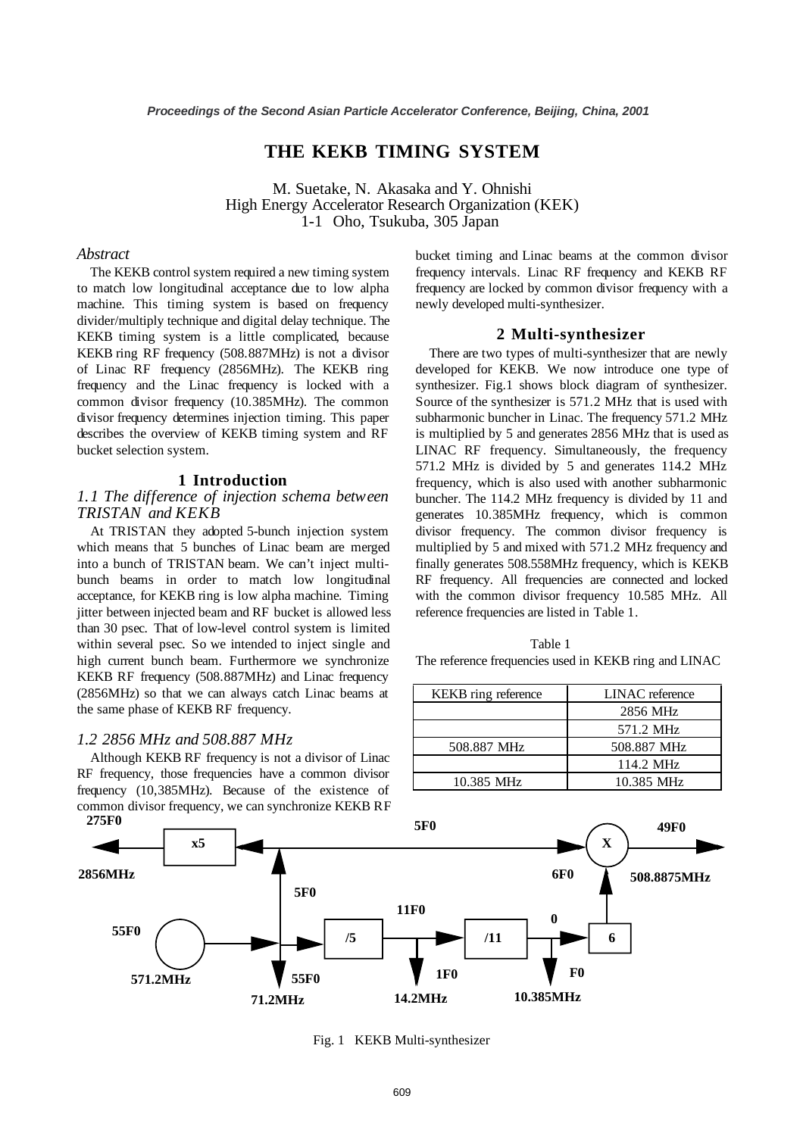## **THE KEKB TIMING SYSTEM**

M. Suetake, N. Akasaka and Y. Ohnishi High Energy Accelerator Research Organization (KEK) 1-1 Oho, Tsukuba, 305 Japan

#### *Abstract*

The KEKB control system required a new timing system to match low longitudinal acceptance due to low alpha machine. This timing system is based on frequency divider/multiply technique and digital delay technique. The KEKB timing system is a little complicated, because KEKB ring RF frequency (508.887MHz) is not a divisor of Linac RF frequency (2856MHz). The KEKB ring frequency and the Linac frequency is locked with a common divisor frequency (10.385MHz). The common divisor frequency determines injection timing. This paper describes the overview of KEKB timing system and RF bucket selection system.

#### **1 Introduction**

#### *1.1 The difference of injection schema between TRISTAN and KEKB*

 At TRISTAN they adopted 5-bunch injection system which means that 5 bunches of Linac beam are merged into a bunch of TRISTAN beam. We can't inject multibunch beams in order to match low longitudinal acceptance, for KEKB ring is low alpha machine. Timing jitter between injected beam and RF bucket is allowed less than 30 psec. That of low-level control system is limited within several psec. So we intended to inject single and high current bunch beam. Furthermore we synchronize KEKB RF frequency (508.887MHz) and Linac frequency (2856MHz) so that we can always catch Linac beams at the same phase of KEKB RF frequency.

#### *1.2 2856 MHz and 508.887 MHz*

 Although KEKB RF frequency is not a divisor of Linac RF frequency, those frequencies have a common divisor frequency (10,385MHz). Because of the existence of common divisor frequency, we can synchronize KEKB RF bucket timing and Linac beams at the common divisor frequency intervals. Linac RF frequency and KEKB RF frequency are locked by common divisor frequency with a newly developed multi-synthesizer.

#### **2 Multi-synthesizer**

 There are two types of multi-synthesizer that are newly developed for KEKB. We now introduce one type of synthesizer. Fig.1 shows block diagram of synthesizer. Source of the synthesizer is 571.2 MHz that is used with subharmonic buncher in Linac. The frequency 571.2 MHz is multiplied by 5 and generates 2856 MHz that is used as LINAC RF frequency. Simultaneously, the frequency 571.2 MHz is divided by 5 and generates 114.2 MHz frequency, which is also used with another subharmonic buncher. The 114.2 MHz frequency is divided by 11 and generates 10.385MHz frequency, which is common divisor frequency. The common divisor frequency is multiplied by 5 and mixed with 571.2 MHz frequency and finally generates 508.558MHz frequency, which is KEKB RF frequency. All frequencies are connected and locked with the common divisor frequency 10.585 MHz. All reference frequencies are listed in Table 1.

 Table 1 The reference frequencies used in KEKB ring and LINAC

| KEKB ring reference | <b>LINAC</b> reference |
|---------------------|------------------------|
|                     | 2856 MHz               |
|                     | 571.2 MHz              |
| 508.887 MHz         | 508.887 MHz            |
|                     | 114.2 MHz              |
| 10.385 MHz          | 10.385 MHz             |



Fig. 1 KEKB Multi-synthesizer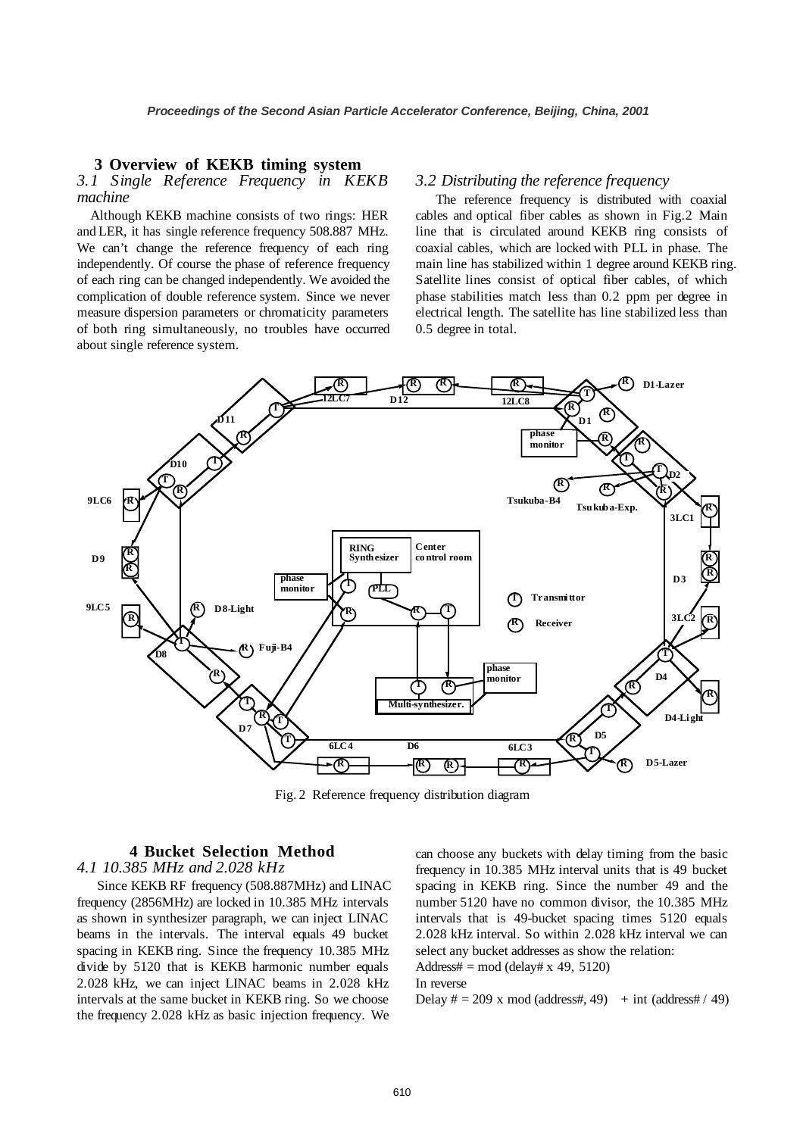#### **3 Overview of KEKB timing system**

## *3.1 Single Reference Frequency in KEKB machine*

 Although KEKB machine consists of two rings: HER and LER, it has single reference frequency 508.887 MHz. We can't change the reference frequency of each ring independently. Of course the phase of reference frequency of each ring can be changed independently. We avoided the complication of double reference system. Since we never measure dispersion parameters or chromaticity parameters of both ring simultaneously, no troubles have occurred about single reference system.

#### *3.2 Distributing the reference frequency*

 The reference frequency is distributed with coaxial cables and optical fiber cables as shown in Fig.2 Main line that is circulated around KEKB ring consists of coaxial cables, which are locked with PLL in phase. The main line has stabilized within 1 degree around KEKB ring. Satellite lines consist of optical fiber cables, of which phase stabilities match less than 0.2 ppm per degree in electrical length. The satellite has line stabilized less than 0.5 degree in total.



Fig. 2 Reference frequency distribution diagram

# **4 Bucket Selection Method**

## *4.1 10.385 MHz and 2.028 kHz*

 Since KEKB RF frequency (508.887MHz) and LINAC frequency (2856MHz) are locked in 10.385 MHz intervals as shown in synthesizer paragraph, we can inject LINAC beams in the intervals. The interval equals 49 bucket spacing in KEKB ring. Since the frequency 10.385 MHz divide by 5120 that is KEKB harmonic number equals 2.028 kHz, we can inject LINAC beams in 2.028 kHz intervals at the same bucket in KEKB ring. So we choose the frequency 2.028 kHz as basic injection frequency. We can choose any buckets with delay timing from the basic frequency in 10.385 MHz interval units that is 49 bucket spacing in KEKB ring. Since the number 49 and the number 5120 have no common divisor, the 10.385 MHz intervals that is 49-bucket spacing times 5120 equals 2.028 kHz interval. So within 2.028 kHz interval we can select any bucket addresses as show the relation:

Address# = mod (delay# x 49, 5120)

#### In reverse

Delay  $\# = 209$  x mod (address#, 49) + int (address# / 49)